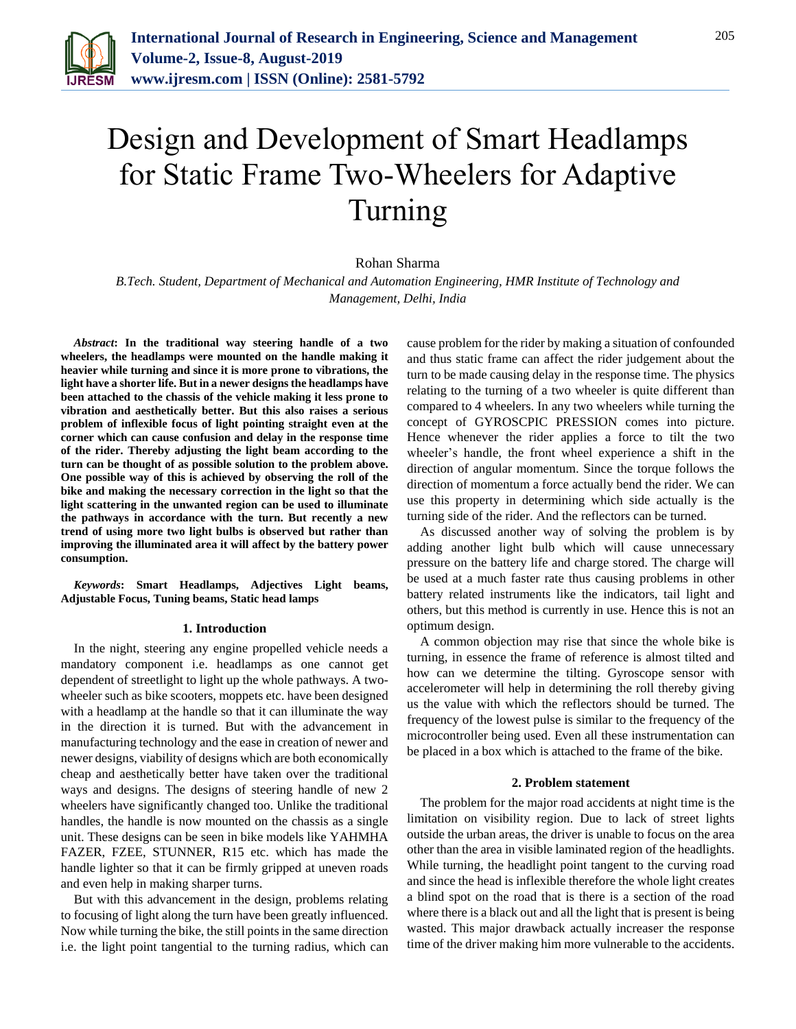

# Design and Development of Smart Headlamps for Static Frame Two-Wheelers for Adaptive Turning

# Rohan Sharma

*B.Tech. Student, Department of Mechanical and Automation Engineering, HMR Institute of Technology and Management, Delhi, India*

*Abstract***: In the traditional way steering handle of a two wheelers, the headlamps were mounted on the handle making it heavier while turning and since it is more prone to vibrations, the light have a shorter life. But in a newer designs the headlamps have been attached to the chassis of the vehicle making it less prone to vibration and aesthetically better. But this also raises a serious problem of inflexible focus of light pointing straight even at the corner which can cause confusion and delay in the response time of the rider. Thereby adjusting the light beam according to the turn can be thought of as possible solution to the problem above. One possible way of this is achieved by observing the roll of the bike and making the necessary correction in the light so that the light scattering in the unwanted region can be used to illuminate the pathways in accordance with the turn. But recently a new trend of using more two light bulbs is observed but rather than improving the illuminated area it will affect by the battery power consumption.**

*Keywords***: Smart Headlamps, Adjectives Light beams, Adjustable Focus, Tuning beams, Static head lamps**

## **1. Introduction**

In the night, steering any engine propelled vehicle needs a mandatory component i.e. headlamps as one cannot get dependent of streetlight to light up the whole pathways. A twowheeler such as bike scooters, moppets etc. have been designed with a headlamp at the handle so that it can illuminate the way in the direction it is turned. But with the advancement in manufacturing technology and the ease in creation of newer and newer designs, viability of designs which are both economically cheap and aesthetically better have taken over the traditional ways and designs. The designs of steering handle of new 2 wheelers have significantly changed too. Unlike the traditional handles, the handle is now mounted on the chassis as a single unit. These designs can be seen in bike models like YAHMHA FAZER, FZEE, STUNNER, R15 etc. which has made the handle lighter so that it can be firmly gripped at uneven roads and even help in making sharper turns.

But with this advancement in the design, problems relating to focusing of light along the turn have been greatly influenced. Now while turning the bike, the still points in the same direction i.e. the light point tangential to the turning radius, which can

cause problem for the rider by making a situation of confounded and thus static frame can affect the rider judgement about the turn to be made causing delay in the response time. The physics relating to the turning of a two wheeler is quite different than compared to 4 wheelers. In any two wheelers while turning the concept of GYROSCPIC PRESSION comes into picture. Hence whenever the rider applies a force to tilt the two wheeler's handle, the front wheel experience a shift in the direction of angular momentum. Since the torque follows the direction of momentum a force actually bend the rider. We can use this property in determining which side actually is the turning side of the rider. And the reflectors can be turned.

As discussed another way of solving the problem is by adding another light bulb which will cause unnecessary pressure on the battery life and charge stored. The charge will be used at a much faster rate thus causing problems in other battery related instruments like the indicators, tail light and others, but this method is currently in use. Hence this is not an optimum design.

A common objection may rise that since the whole bike is turning, in essence the frame of reference is almost tilted and how can we determine the tilting. Gyroscope sensor with accelerometer will help in determining the roll thereby giving us the value with which the reflectors should be turned. The frequency of the lowest pulse is similar to the frequency of the microcontroller being used. Even all these instrumentation can be placed in a box which is attached to the frame of the bike.

## **2. Problem statement**

The problem for the major road accidents at night time is the limitation on visibility region. Due to lack of street lights outside the urban areas, the driver is unable to focus on the area other than the area in visible laminated region of the headlights. While turning, the headlight point tangent to the curving road and since the head is inflexible therefore the whole light creates a blind spot on the road that is there is a section of the road where there is a black out and all the light that is present is being wasted. This major drawback actually increaser the response time of the driver making him more vulnerable to the accidents.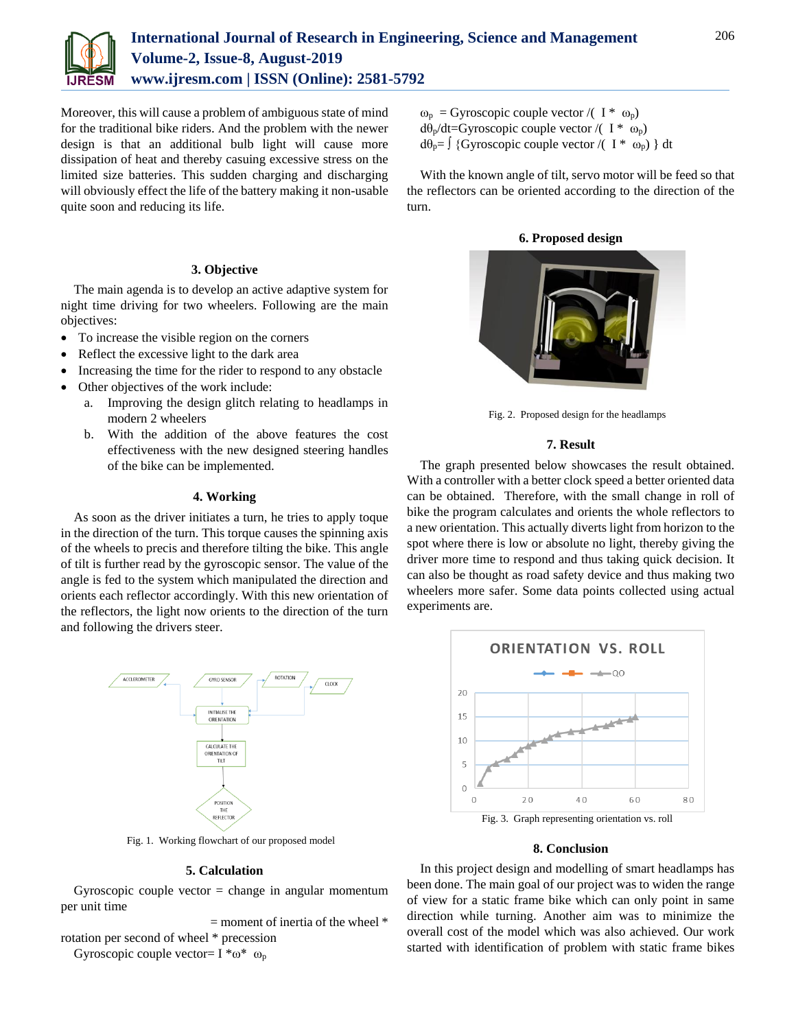

Moreover, this will cause a problem of ambiguous state of mind for the traditional bike riders. And the problem with the newer design is that an additional bulb light will cause more dissipation of heat and thereby casuing excessive stress on the limited size batteries. This sudden charging and discharging will obviously effect the life of the battery making it non-usable quite soon and reducing its life.

# **3. Objective**

The main agenda is to develop an active adaptive system for night time driving for two wheelers. Following are the main objectives:

- To increase the visible region on the corners
- Reflect the excessive light to the dark area
- Increasing the time for the rider to respond to any obstacle
- Other objectives of the work include:
	- a. Improving the design glitch relating to headlamps in modern 2 wheelers
	- b. With the addition of the above features the cost effectiveness with the new designed steering handles of the bike can be implemented.

#### **4. Working**

As soon as the driver initiates a turn, he tries to apply toque in the direction of the turn. This torque causes the spinning axis of the wheels to precis and therefore tilting the bike. This angle of tilt is further read by the gyroscopic sensor. The value of the angle is fed to the system which manipulated the direction and orients each reflector accordingly. With this new orientation of the reflectors, the light now orients to the direction of the turn and following the drivers steer.



Fig. 1. Working flowchart of our proposed model

## **5. Calculation**

Gyroscopic couple vector  $=$  change in angular momentum per unit time

 $=$  moment of inertia of the wheel  $*$ 

rotation per second of wheel \* precession Gyroscopic couple vector=  $I * \omega * \omega_p$ 

 $\omega_p$  = Gyroscopic couple vector /( I \*  $\omega_p$ )  $dθ<sub>p</sub>/dt = Gyroscopic couple vector / ( I * ω<sub>p</sub>)$  $d\theta_p = \int {\rm Gyroscopic\,couple\,vector}/({\rm I} \ast \omega_p) {\rm dt}$ 

With the known angle of tilt, servo motor will be feed so that the reflectors can be oriented according to the direction of the turn.

**6. Proposed design**



Fig. 2. Proposed design for the headlamps

#### **7. Result**

The graph presented below showcases the result obtained. With a controller with a better clock speed a better oriented data can be obtained. Therefore, with the small change in roll of bike the program calculates and orients the whole reflectors to a new orientation. This actually diverts light from horizon to the spot where there is low or absolute no light, thereby giving the driver more time to respond and thus taking quick decision. It can also be thought as road safety device and thus making two wheelers more safer. Some data points collected using actual experiments are.



Fig. 3. Graph representing orientation vs. roll

# **8. Conclusion**

In this project design and modelling of smart headlamps has been done. The main goal of our project was to widen the range of view for a static frame bike which can only point in same direction while turning. Another aim was to minimize the overall cost of the model which was also achieved. Our work started with identification of problem with static frame bikes